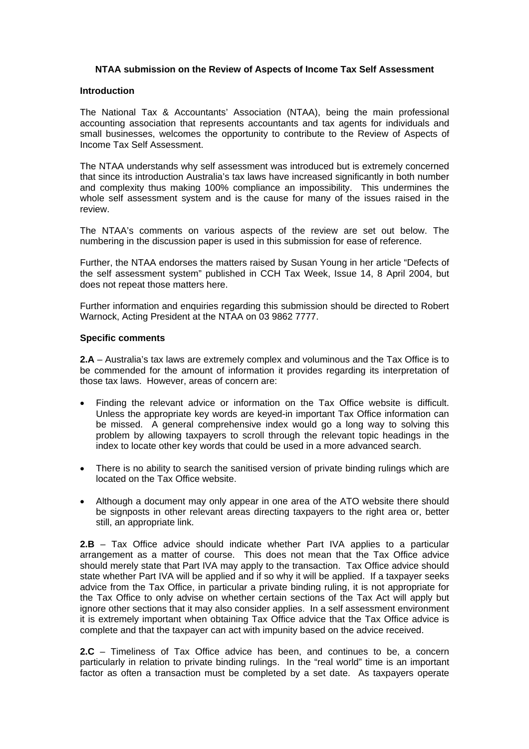## **NTAA submission on the Review of Aspects of Income Tax Self Assessment**

## **Introduction**

The National Tax & Accountants' Association (NTAA), being the main professional accounting association that represents accountants and tax agents for individuals and small businesses, welcomes the opportunity to contribute to the Review of Aspects of Income Tax Self Assessment.

The NTAA understands why self assessment was introduced but is extremely concerned that since its introduction Australia's tax laws have increased significantly in both number and complexity thus making 100% compliance an impossibility. This undermines the whole self assessment system and is the cause for many of the issues raised in the review.

The NTAA's comments on various aspects of the review are set out below. The numbering in the discussion paper is used in this submission for ease of reference.

Further, the NTAA endorses the matters raised by Susan Young in her article "Defects of the self assessment system" published in CCH Tax Week, Issue 14, 8 April 2004, but does not repeat those matters here.

Further information and enquiries regarding this submission should be directed to Robert Warnock, Acting President at the NTAA on 03 9862 7777.

## **Specific comments**

**2.A** – Australia's tax laws are extremely complex and voluminous and the Tax Office is to be commended for the amount of information it provides regarding its interpretation of those tax laws. However, areas of concern are:

- Finding the relevant advice or information on the Tax Office website is difficult. Unless the appropriate key words are keyed-in important Tax Office information can be missed. A general comprehensive index would go a long way to solving this problem by allowing taxpayers to scroll through the relevant topic headings in the index to locate other key words that could be used in a more advanced search.
- There is no ability to search the sanitised version of private binding rulings which are located on the Tax Office website.
- Although a document may only appear in one area of the ATO website there should be signposts in other relevant areas directing taxpayers to the right area or, better still, an appropriate link.

**2.B** – Tax Office advice should indicate whether Part IVA applies to a particular arrangement as a matter of course. This does not mean that the Tax Office advice should merely state that Part IVA may apply to the transaction. Tax Office advice should state whether Part IVA will be applied and if so why it will be applied. If a taxpayer seeks advice from the Tax Office, in particular a private binding ruling, it is not appropriate for the Tax Office to only advise on whether certain sections of the Tax Act will apply but ignore other sections that it may also consider applies. In a self assessment environment it is extremely important when obtaining Tax Office advice that the Tax Office advice is complete and that the taxpayer can act with impunity based on the advice received.

**2.C** – Timeliness of Tax Office advice has been, and continues to be, a concern particularly in relation to private binding rulings. In the "real world" time is an important factor as often a transaction must be completed by a set date. As taxpayers operate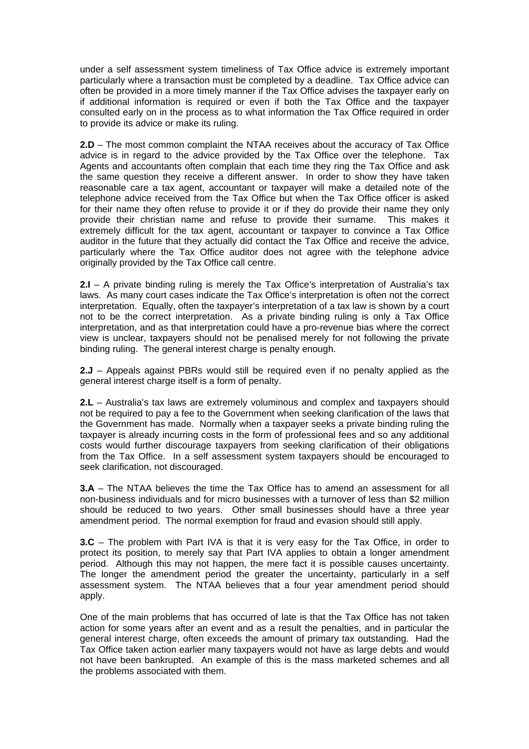under a self assessment system timeliness of Tax Office advice is extremely important particularly where a transaction must be completed by a deadline. Tax Office advice can often be provided in a more timely manner if the Tax Office advises the taxpayer early on if additional information is required or even if both the Tax Office and the taxpayer consulted early on in the process as to what information the Tax Office required in order to provide its advice or make its ruling.

**2.D** – The most common complaint the NTAA receives about the accuracy of Tax Office advice is in regard to the advice provided by the Tax Office over the telephone. Tax Agents and accountants often complain that each time they ring the Tax Office and ask the same question they receive a different answer. In order to show they have taken reasonable care a tax agent, accountant or taxpayer will make a detailed note of the telephone advice received from the Tax Office but when the Tax Office officer is asked for their name they often refuse to provide it or if they do provide their name they only provide their christian name and refuse to provide their surname. This makes it extremely difficult for the tax agent, accountant or taxpayer to convince a Tax Office auditor in the future that they actually did contact the Tax Office and receive the advice, particularly where the Tax Office auditor does not agree with the telephone advice originally provided by the Tax Office call centre.

**2.I** – A private binding ruling is merely the Tax Office's interpretation of Australia's tax laws. As many court cases indicate the Tax Office's interpretation is often not the correct interpretation. Equally, often the taxpayer's interpretation of a tax law is shown by a court not to be the correct interpretation. As a private binding ruling is only a Tax Office interpretation, and as that interpretation could have a pro-revenue bias where the correct view is unclear, taxpayers should not be penalised merely for not following the private binding ruling. The general interest charge is penalty enough.

**2.J** – Appeals against PBRs would still be required even if no penalty applied as the general interest charge itself is a form of penalty.

**2.L** – Australia's tax laws are extremely voluminous and complex and taxpayers should not be required to pay a fee to the Government when seeking clarification of the laws that the Government has made. Normally when a taxpayer seeks a private binding ruling the taxpayer is already incurring costs in the form of professional fees and so any additional costs would further discourage taxpayers from seeking clarification of their obligations from the Tax Office. In a self assessment system taxpayers should be encouraged to seek clarification, not discouraged.

**3.A** – The NTAA believes the time the Tax Office has to amend an assessment for all non-business individuals and for micro businesses with a turnover of less than \$2 million should be reduced to two years. Other small businesses should have a three year amendment period. The normal exemption for fraud and evasion should still apply.

**3.C** – The problem with Part IVA is that it is very easy for the Tax Office, in order to protect its position, to merely say that Part IVA applies to obtain a longer amendment period. Although this may not happen, the mere fact it is possible causes uncertainty. The longer the amendment period the greater the uncertainty, particularly in a self assessment system. The NTAA believes that a four year amendment period should apply.

One of the main problems that has occurred of late is that the Tax Office has not taken action for some years after an event and as a result the penalties, and in particular the general interest charge, often exceeds the amount of primary tax outstanding. Had the Tax Office taken action earlier many taxpayers would not have as large debts and would not have been bankrupted. An example of this is the mass marketed schemes and all the problems associated with them.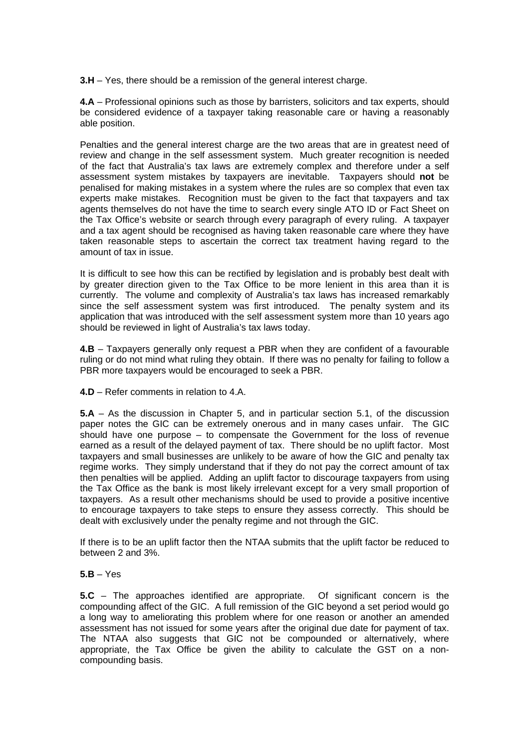**3.H** – Yes, there should be a remission of the general interest charge.

**4.A** – Professional opinions such as those by barristers, solicitors and tax experts, should be considered evidence of a taxpayer taking reasonable care or having a reasonably able position.

Penalties and the general interest charge are the two areas that are in greatest need of review and change in the self assessment system. Much greater recognition is needed of the fact that Australia's tax laws are extremely complex and therefore under a self assessment system mistakes by taxpayers are inevitable. Taxpayers should **not** be penalised for making mistakes in a system where the rules are so complex that even tax experts make mistakes. Recognition must be given to the fact that taxpayers and tax agents themselves do not have the time to search every single ATO ID or Fact Sheet on the Tax Office's website or search through every paragraph of every ruling. A taxpayer and a tax agent should be recognised as having taken reasonable care where they have taken reasonable steps to ascertain the correct tax treatment having regard to the amount of tax in issue.

It is difficult to see how this can be rectified by legislation and is probably best dealt with by greater direction given to the Tax Office to be more lenient in this area than it is currently. The volume and complexity of Australia's tax laws has increased remarkably since the self assessment system was first introduced. The penalty system and its application that was introduced with the self assessment system more than 10 years ago should be reviewed in light of Australia's tax laws today.

**4.B** – Taxpayers generally only request a PBR when they are confident of a favourable ruling or do not mind what ruling they obtain. If there was no penalty for failing to follow a PBR more taxpayers would be encouraged to seek a PBR.

**4.D** – Refer comments in relation to 4.A.

**5.A** – As the discussion in Chapter 5, and in particular section 5.1, of the discussion paper notes the GIC can be extremely onerous and in many cases unfair. The GIC should have one purpose – to compensate the Government for the loss of revenue earned as a result of the delayed payment of tax. There should be no uplift factor. Most taxpayers and small businesses are unlikely to be aware of how the GIC and penalty tax regime works. They simply understand that if they do not pay the correct amount of tax then penalties will be applied. Adding an uplift factor to discourage taxpayers from using the Tax Office as the bank is most likely irrelevant except for a very small proportion of taxpayers. As a result other mechanisms should be used to provide a positive incentive to encourage taxpayers to take steps to ensure they assess correctly. This should be dealt with exclusively under the penalty regime and not through the GIC.

If there is to be an uplift factor then the NTAA submits that the uplift factor be reduced to between 2 and 3%.

## **5.B** – Yes

**5.C** – The approaches identified are appropriate. Of significant concern is the compounding affect of the GIC. A full remission of the GIC beyond a set period would go a long way to ameliorating this problem where for one reason or another an amended assessment has not issued for some years after the original due date for payment of tax. The NTAA also suggests that GIC not be compounded or alternatively, where appropriate, the Tax Office be given the ability to calculate the GST on a noncompounding basis.